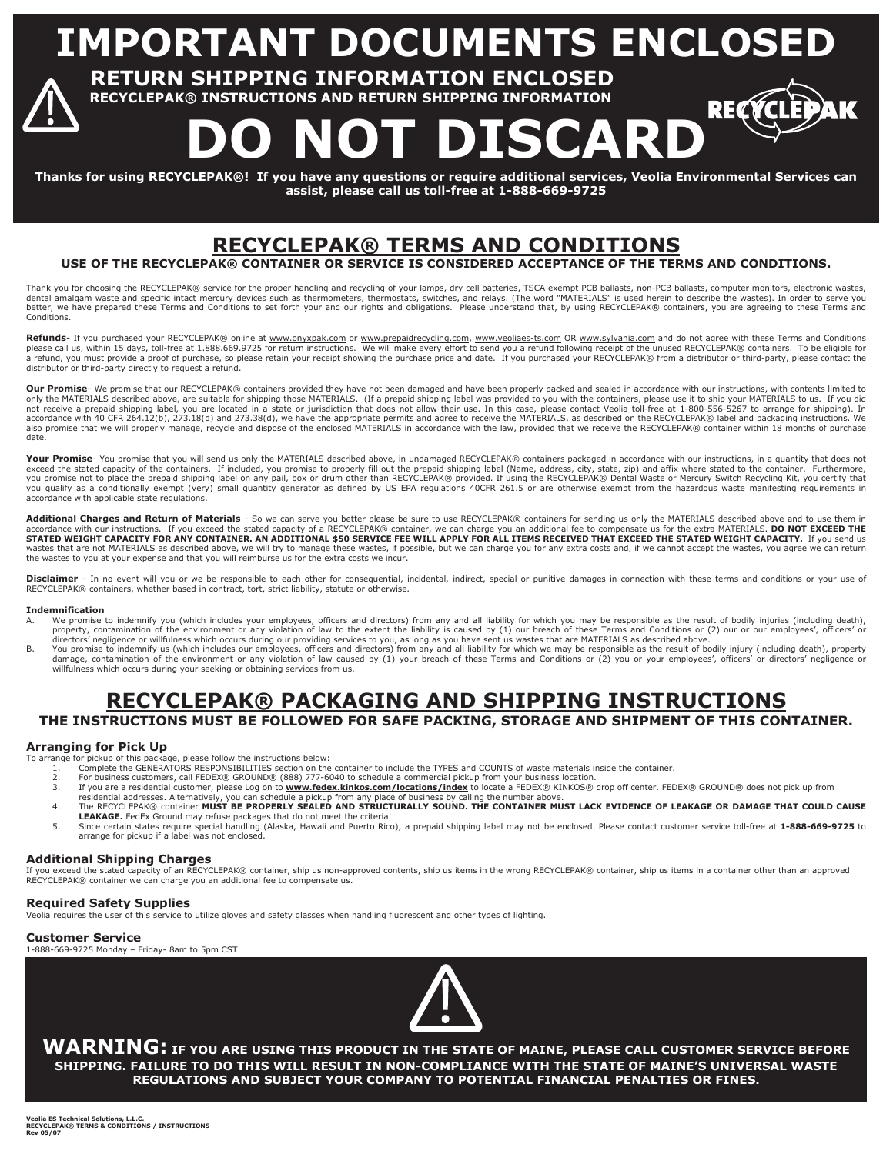**IMPORTANT DOCUMENTS ENCLOSE** 

 **RETURN SHIPPING INFORMATION ENCLOSED RECYCLEPAK® INSTRUCTIONS AND RETURN SHIPPING INFORMATION** 

DO NOT DISCARD<sup>®</sup>

REQ

**Thanks for using RECYCLEPAK®! If you have any questions or require additional services, Veolia Environmental Services can assist, please call us toll-free at 1-888-669-9725** 

# **RECYCLEPAK® TERMS AND CONDITIONS**

**USE OF THE RECYCLEPAK® CONTAINER OR SERVICE IS CONSIDERED ACCEPTANCE OF THE TERMS AND CONDITIONS.** 

Thank you for choosing the RECYCLEPAK® service for the proper handling and recycling of your lamps, dry cell batteries, TSCA exempt PCB ballasts, non-PCB ballasts, computer monitors, electronic wastes,<br>dental amalgam waste Conditions.

Refunds- If you purchased your RECYCLEPAK® online at www.onyxpak.com or www.prepaidrecycling.com, www.veoliaes-ts.com OR www.sylvania.com and do not agree with these Terms and Conditions please call us, within 15 days, toll-free at 1.888.669.9725 for return instructions. We will make every effort to send you a refund following receipt of the unused RECYCLEPAK® containers. To be eligible for<br>a refund, you m distributor or third-party directly to request a refund.

Our Promise- We promise that our RECYCLEPAK® containers provided they have not been damaged and have been properly packed and sealed in accordance with our instructions, with contents limited to only the MATERIALS described above, are suitable for shipping those MATERIALS. (If a prepaid shipping label was provided to you with the containers, please use it to ship your MATERIALS to us. If you did<br>not receive a prep accordance with 40 CFR 264.12(b), 273.18(d) and 273.38(d), we have the appropriate permits and agree to receive the MATERIALS, as described on the RECYCLEPAK® label and packaging instructions. We<br>also promise that we will date.

Your Promise You promise that you will send us only the MATERIALS described above, in undamaged RECYCLEPAK® containers packaged in accordance with our instructions, in a quantity that does not exceed the stated capacity of the containers. If included, you promise to properly fill out the prepaid shipping label (Name, address, city, state, zip) and affix where stated to the container. Furthermore, you promise not to place the prepaid shipping label on any pail, box or drum other than RECYCLEPAK® provided. If using the RECYCLEPAK® Dental Waste or Mercury Switch Recycling Kit, you certify that<br>you qualify as a conditi accordance with applicable state regulations.

Additional Charges and Return of Materials - So we can serve you better please be sure to use RECYCLEPAK® containers for sending us only the MATERIALS described above and to use them in accordance with our instructions. If you exceed the stated capacity of a RECYCLEPAK® container, we can charge you an additional fee to compensate us for the extra MATERIALS. **DO NOT EXCEED THE**<br>**STATED WEIGHT CAPACITY FOR** wastes that are not MATERIALS as described above, we will try to manage these wastes, if possible, but we can charge you for any extra costs and, if we cannot accept the wastes, you agree we can return the wastes to you at your expense and that you will reimburse us for the extra costs we incur.

Disclaimer - In no event will you or we be responsible to each other for consequential, incidental, indirect, special or punitive damages in connection with these terms and conditions or your use of RECYCLEPAK® containers, whether based in contract, tort, strict liability, statute or otherwise.

#### **Indemnification**

- A. We promise to indemnify you (which includes your employees, officers and directors) from any and all liability for which you may be responsible as the result of bodily injuries (including death), property, contamination of the environment or any violation of law to the extent the liability is caused by (1) our breach of these Terms and Conditions or (2) our or our employees', officers' or directors' negligence or willfulness which occurs during our providing services to you, as long as you have sent us wastes that are MATERIALS as described above.
- B. You promise to indemnify us (which includes our employees, officers and directors) from any and all liability for which we may be responsible as the result of bodily injury (including death), property damage, contamination of the environment or any violation of law caused by (1) your breach of these Terms and Conditions or (2) you or your employees', officers' or directors' negligence or willfulness which occurs during your seeking or obtaining services from us.

## **RECYCLEPAK® PACKAGING AND SHIPPING INSTRUCTIONS THE INSTRUCTIONS MUST BE FOLLOWED FOR SAFE PACKING, STORAGE AND SHIPMENT OF THIS CONTAINER.**

#### **Arranging for Pick Up**

To arrange for pickup of this package, please follow the instructions below:

- 1. Complete the GENERATORS RESPONSIBILITIES section on the container to include the TYPES and COUNTS of waste materials inside the container.<br>2. For business customers, call FEDEX® GROUND® (888) 777-6040 to schedule a
- 
- 3. If you are a residential customer, please Log on to www.fedex.kinkos.com/locations/index to locate a FEDEX® KINKOS® drop off center. FEDEX® GROUND® does not pick up from<br>residential addresses. Alternatively, you can sch
- 4. The RECYCLEPAK® container **MUST BE PROPERLY SEALED AND STRUCTURALLY SOUND. THE CONTAINER MUST LACK EVIDENCE OF LEAKAGE OR DAMAGE THAT COULD CAUSE LEAKAGE.** FedEx Ground may refuse packages that do not meet the criteria!
- 5. Since certain states require special handling (Alaska, Hawaii and Puerto Rico), a prepaid shipping label may not be enclosed. Please contact customer service toll-free at **1-888-669-9725** to arrange for pickup if a label was not enclosed.

#### **Additional Shipping Charges**

If you exceed the stated capacity of an RECYCLEPAK® container, ship us non-approved contents, ship us items in the wrong RECYCLEPAK® container, ship us items in a container other than an approved<br>RECYCLEPAK® container we c

## **Required Safety Supplies**

Veolia requires the user of this service to utilize gloves and safety glasses when handling fluorescent and other types of lighting.

#### **Customer Service**

1-888-669-9725 Monday – Friday- 8am to 5pm CST



**WARNING: IF YOU ARE USING THIS PRODUCT IN THE STATE OF MAINE, PLEASE CALL CUSTOMER SERVICE BEFORE SHIPPING. FAILURE TO DO THIS WILL RESULT IN NON-COMPLIANCE WITH THE STATE OF MAINE'S UNIVERSAL WASTE REGULATIONS AND SUBJECT YOUR COMPANY TO POTENTIAL FINANCIAL PENALTIES OR FINES.**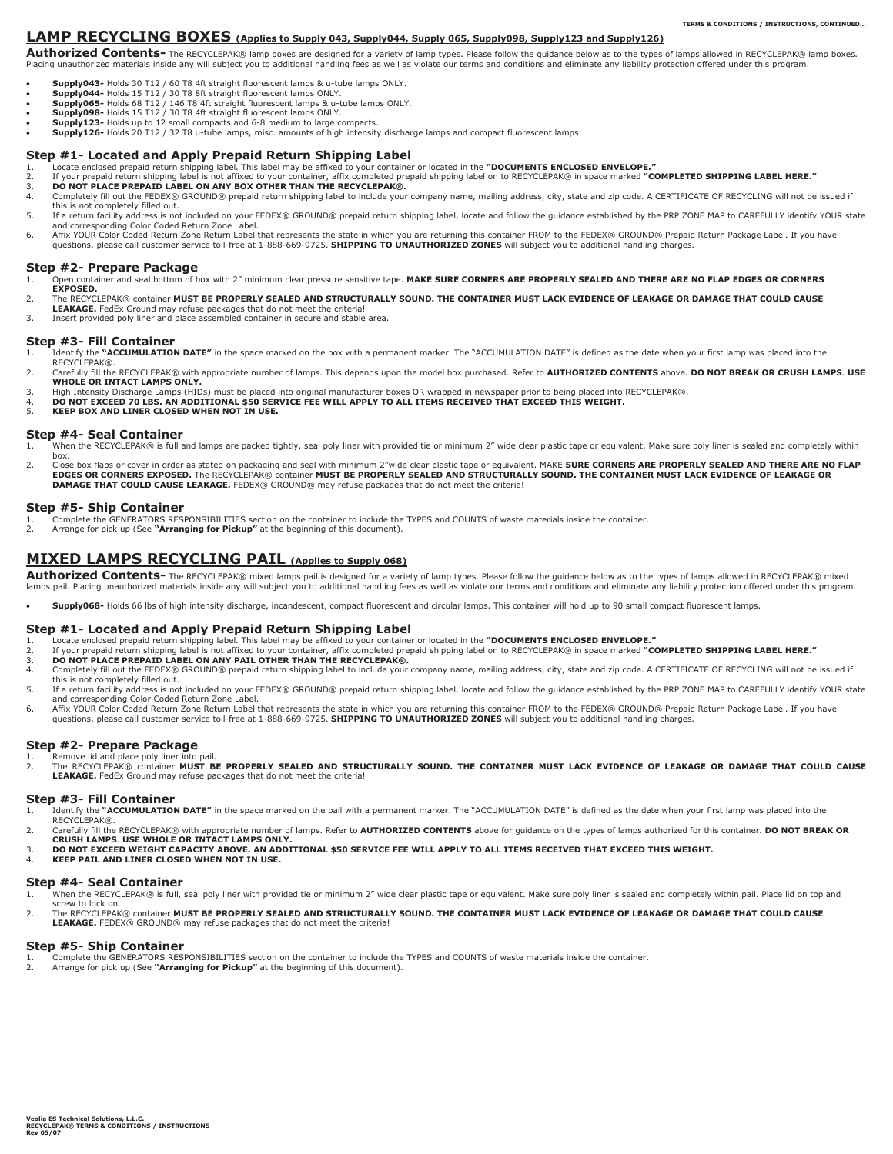### **LAMP RECYCLING BOXES (Applies to Supply 043, Supply044, Supply 065, Supply098, Supply123 and Supply126)**

**Authorized Contents-** The RECYCLEPAK® lamp boxes are designed for a variety of lamp types. Please follow the guidance below as to the types of lamps allowed in RECYCLEPAK® lamp boxes. Placing unauthorized materials inside any will subject you to additional handling fees as well as violate our terms and conditions and eliminate any liability protection offered under this program.

- **Supply043-** Holds 30 T12 / 60 T8 4ft straight fluorescent lamps & u-tube lamps ONLY.<br>• Supply044- Holds 15 T12 / 30 T8 8ft straight fluorescent lamps ONLY.
- 
- x **Supply065-** Holds 68 T12 / 146 T8 4ft straight fluorescent lamps & u-tube lamps ONLY. x **Supply098-** Holds 15 T12 / 30 T8 4ft straight fluorescent lamps ONLY.
- Supply123- Holds up to 12 small compacts and 6-8 medium to large compacts.
- x **Supply126-** Holds 20 T12 / 32 T8 u-tube lamps, misc. amounts of high intensity discharge lamps and compact fluorescent lamps

### **Step #1- Located and Apply Prepaid Return Shipping Label**

- 
- 1. Locate enclosed prepaid return shipping label. This label may be affixed to your container or located in the "DOCUMENTS ENCLOSED ENVELOPE."<br>2. If your prepaid return shipping label is not affixed to your container, affi
- 3. DO NOT PLACE PREPAID LABEL ON ANY BOX OTHER THAN THE RECYCLEPAK®.<br>4. Completely fill out the FEDEX® GROUND® prepaid return shipping label to include your company name, mailing address, city, state and zip code. A CERTIF this is not completely filled out.
- 5. If a return facility address is not included on your FEDEX® GROUND® prepaid return shipping label, locate and follow the guidance established by the PRP ZONE MAP to CAREFULLY identify YOUR state
- and corresponding Color Coded Return Zone Label.<br>6. Affix YOUR Color Coded Return Zone Return Label that represents the state in which you are returning this container FROM to the FEDEX® GROUND® Prepaid Return Package questions, please call customer service toll-free at 1-888-669-9725. **SHIPPING TO UNAUTHORIZED ZONES** will subject you to additional handling charges.

# **Step #2- Prepare Package**<br>1. Open container and seal bottom of b

- 1. Open container and seal bottom of box with 2" minimum clear pressure sensitive tape. **MAKE SURE CORNERS ARE PROPERLY SEALED AND THERE ARE NO FLAP EDGES OR CORNERS EXPOSED.**
- 2. The RECYCLEPAK® container **MUST BE PROPERLY SEALED AND STRUCTURALLY SOUND. THE CONTAINER MUST LACK EVIDENCE OF LEAKAGE OR DAMAGE THAT COULD CAUSE**
- **LEAKAGE.** FedEx Ground may refuse packages that do not meet the criteria!
- 3. Insert provided poly liner and place assembled container in secure and stable area.

# **Step #3- Fill Container** 1. **Identify the "ACCUMULATION**

- Identify the "ACCUMULATION DATE" in the space marked on the box with a permanent marker. The "ACCUMULATION DATE" is defined as the date when your first lamp was placed into the RECYCLEPAK®.
- 2. Carefully fill the RECYCLEPAK® with appropriate number of lamps. This depends upon the model box purchased. Refer to **AUTHORIZED CONTENTS** above. **DO NOT BREAK OR CRUSH LAMPS**. **USE WHOLE OR INTACT LAMPS ONLY.**
- 3. High Intensity Discharge Lamps (HIDs) must be placed into original manufacturer boxes OR wrapped in newspaper prior to being placed into RECYCLEPAK®.<br>4. DO NOT EXCEED 70 LBS. AN ADDITIONAL \$50 SERVICE FEE WIL
- 5. **KEEP BOX AND LINER CLOSED WHEN NOT IN USE.**

#### **Step #4- Seal Container**

- When the RECYCLEPAK® is full and lamps are packed tightly, seal poly liner with provided tie or minimum 2" wide clear plastic tape or equivalent. Make sure poly liner is sealed and completely within box.
- 2. Close box flaps or cover in order as stated on packaging and seal with minimum 2"wide clear plastic tape or equivalent. MAKE SURE CORNERS ARE PROPERLY SEALED AND THERE ARE NO FLAP **EDGES OR CORNERS EXPOSED.** The RECYCLEPAK® container **MUST BE PROPERLY SEALED AND STRUCTURALLY SOUND. THE CONTAINER MUST LACK EVIDENCE OF LEAKAGE OR DAMAGE THAT COULD CAUSE LEAKAGE.** FEDEX® GROUND® may refuse packages that do not meet the criteria!

#### **Step #5- Ship Container**

- 1. Complete the GENERATORS RESPONSIBILITIES section on the container to include the TYPES and COUNTS of waste materials inside the container.<br>2. Arrange for pick up (See "Arranging for Pickun" at the beginning of this docu
- 2. Arrange for pick up (See **"Arranging for Pickup"** at the beginning of this document).

### **MIXED LAMPS RECYCLING PAIL (Applies to Supply 068)**

**Authorized Contents-** The RECYCLEPAK® mixed lamps pail is designed for a variety of lamp types. Please follow the guidance below as to the types of lamps allowed in RECYCLEPAK® mixed lamps pail. Placing unauthorized materials inside any will subject you to additional handling fees as well as violate our terms and conditions and eliminate any liability protection offered under this program.

x **Supply068-** Holds 66 lbs of high intensity discharge, incandescent, compact fluorescent and circular lamps. This container will hold up to 90 small compact fluorescent lamps.

#### **Step #1- Located and Apply Prepaid Return Shipping Label**

- 
- 1. Locate enclosed prepaid return shipping label. This label may be affixed to your container or located in the "DOCUMENTS ENCLOSED ENVELOPE."<br>2. If your prepaid return shipping label is not affixed to your container, affi
- 3. **DO NOT PLACE PREPAID LABEL ON ANY PAIL OTHER THAN THE RECYCLEPAK®.**
- 4. Completely fill out the FEDEX® GROUND® prepaid return shipping label to include your company name, mailing address, city, state and zip code. A CERTIFICATE OF RECYCLING will not be issued if this is not completely filled out. 5. If a return facility address is not included on your FEDEX® GROUND® prepaid return shipping label, locate and follow the guidance established by the PRP ZONE MAP to CAREFULLY identify YOUR state
- and corresponding Color Coded Return Zone Label.
- 6. Affix YOUR Color Coded Return Zone Return Label that represents the state in which you are returning this container FROM to the FEDEX® GROUND® Prepaid Return Package Label. If you have<br>questions, please call customer se

#### **Step #2- Prepare Package**

1. Remove lid and place poly liner into pail.<br>2. The RECYCLEPAK® container **MUST BE PROPERLY SEALED AND STRUCTURALLY SOUND. THE CONTAINER MUST LACK EVIDENCE OF LEAKAGE OR DAMAGE THAT COULD CAUSE LEAKAGE.** FedEx Ground may refuse packages that do not meet the criteria!

# **Step #3- Fill Container** 1. Identify the "ACCUMULATION

- 1. Identify the "ACCUMULATION DATE" in the space marked on the pail with a permanent marker. The "ACCUMULATION DATE" is defined as the date when your first lamp was placed into the<br>RECYCLEPAK®.
- 2. Carefully fill the RECYCLEPAK® with appropriate number of lamps. Refer to **AUTHORIZED CONTENTS** above for guidance on the types of lamps authorized for this container. **DO NOT BREAK OR**
- **CRUSH LAMPS**. **USE WHOLE OR INTACT LAMPS ONLY.**
- 3. **DO NOT EXCEED WEIGHT CAPACITY ABOVE. AN ADDITIONAL \$50 SERVICE FEE WILL APPLY TO ALL ITEMS RECEIVED THAT EXCEED THIS WEIGHT.** 4. **KEEP PAIL AND LINER CLOSED WHEN NOT IN USE.**

## **Step #4- Seal Container**

- 1. When the RECYCLEPAK® is full, seal poly liner with provided tie or minimum 2" wide clear plastic tape or equivalent. Make sure poly liner is sealed and completely within pail. Place lid on top and screw to lock on.
- 2. The RECYCLEPAK® container **MUST BE PROPERLY SEALED AND STRUCTURALLY SOUND. THE CONTAINER MUST LACK EVIDENCE OF LEAKAGE OR DAMAGE THAT COULD CAUSE LEAKAGE.** FEDEX® GROUND® may refuse packages that do not meet the criteria!

#### **Step #5- Ship Container**

- 1. Complete the GENERATORS RESPONSIBILITIES section on the container to include the TYPES and COUNTS of waste materials inside the container.<br>2. Arrange for pick up (See **"Arranging for Pickup"** at the beginning of thi
-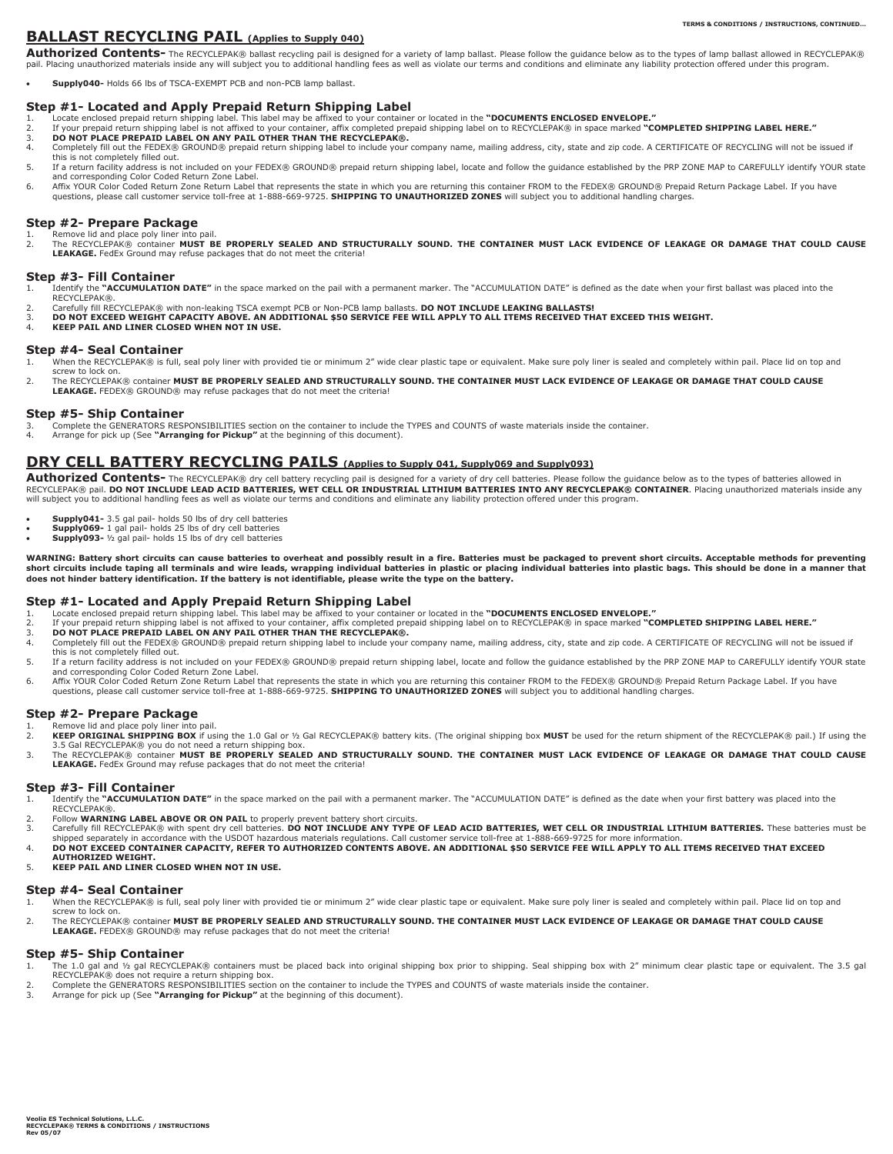## **BALLAST RECYCLING PAIL (Applies to Supply 040)**

**Authorized Contents-** The RECYCLEPAK® ballast recycling pail is designed for a variety of lamp ballast. Please follow the guidance below as to the types of lamp ballast allowed in RECYCLEPAK® pail. Placing unauthorized materials inside any will subject you to additional handling fees as well as violate our terms and conditions and eliminate any liability protection offered under this program.

x **Supply040-** Holds 66 lbs of TSCA-EXEMPT PCB and non-PCB lamp ballast.

#### **Step #1- Located and Apply Prepaid Return Shipping Label**

- 
- 1. Locate enclosed prepaid return shipping label. This label may be affixed to your container or located in the "DOCUMENTS ENCLOSED ENVELOPE."<br>2. If your prepaid return shipping label is not affixed to your container, affi
- 3. **DO NOT PLACE PREPAID LABEL ON ANY PAIL OTHER THAN THE RECYCLEPAK®.** 4. Completely fill out the FEDEX® GROUND® prepaid return shipping label to include your company name, mailing address, city, state and zip code. A CERTIFICATE OF RECYCLING will not be issued if this is not completely filled out.
- 5. If a return facility address is not included on your FEDEX® GROUND® prepaid return shipping label, locate and follow the guidance established by the PRP ZONE MAP to CAREFULLY identify YOUR state and corresponding Color Coded Return Zone Label.
- 6. Affix YOUR Color Coded Return Zone Return Label that represents the state in which you are returning this container FROM to the FEDEX® GROUND® Prepaid Return Package Label. If you have<br>questions, please call customer se

### **Step #2- Prepare Package**

Remove lid and place poly liner into pail. 2. The RECYCLEPAK® container **MUST BE PROPERLY SEALED AND STRUCTURALLY SOUND. THE CONTAINER MUST LACK EVIDENCE OF LEAKAGE OR DAMAGE THAT COULD CAUSE** LEAKAGE. FedEx Ground may refuse packages that do not meet the criteria!

# **Step #3- Fill Container**<br>1. Identify the "ACCUMULATION

- Identify the "ACCUMULATION DATE" in the space marked on the pail with a permanent marker. The "ACCUMULATION DATE" is defined as the date when your first ballast was placed into the
- RECYCLEPAK®.
	- 2. Carefully fill RECYCLEPAK® with non-leaking TSCA exempt PCB or Non-PCB lamp ballasts. **DO NOT INCLUDE LEAKING BALLASTS!**<br>2. **DO NOT EXCEED WETGHT CAPACITY AROVE AN ADDITIONAL \$50 SERVICE EFE WILL APPLY TO ALL ITEMS RECE** 3. **DO NOT EXCEED WEIGHT CAPACITY ABOVE. AN ADDITIONAL \$50 SERVICE FEE WILL APPLY TO ALL ITEMS RECEIVED THAT EXCEED THIS WEIGHT.**
	- 4. **KEEP PAIL AND LINER CLOSED WHEN NOT IN USE.**

#### **Step #4- Seal Container**

- 1. When the RECYCLEPAK® is full, seal poly liner with provided tie or minimum 2" wide clear plastic tape or equivalent. Make sure poly liner is sealed and completely within pail. Place lid on top and screw to lock on.
- 2. The RECYCLEPAK® container **MUST BE PROPERLY SEALED AND STRUCTURALLY SOUND. THE CONTAINER MUST LACK EVIDENCE OF LEAKAGE OR DAMAGE THAT COULD CAUSE**  LEAKAGE. FEDEX<sup>®</sup> GROUND<sup>®</sup> may refuse packages that do not meet the criteria!

#### **Step #5- Ship Container**

- 3. Complete the GENERATORS RESPONSIBILITIES section on the container to include the TYPES and COUNTS of waste materials inside the container.<br>4. Arrange for pick up (See "Arranging for Pickup" at the beginning of this docu
- 4. Arrange for pick up (See **"Arranging for Pickup"** at the beginning of this document).

## **DRY CELL BATTERY RECYCLING PAILS (Applies to Supply 041, Supply069 and Supply093)**

Authorized Contents- The RECYCLEPAK® dry cell battery recycling pail is designed for a variety of dry cell batteries. Please follow the guidance below as to the types of batteries allowed in RECYCLEPAK® pail. **DO NOT INCLUDE LEAD ACID BATTERIES, WET CELL OR INDUSTRIAL LITHIUM BATTERIES INTO ANY RECYCLEPAK® CONTAINER**. Placing unauthorized materials inside any will subject you to additional handling fees as well as violate our terms and conditions and eliminate any liability protection offered under this program.

- **Supply041-** 3.5 gal pail- holds 50 lbs of dry cell batteries<br> **Supply069-** 1 gal pail- holds 25 lbs of dry cell batteries
- 
- x **Supply093-** ½ gal pail- holds 15 lbs of dry cell batteries

**WARNING: Battery short circuits can cause batteries to overheat and possibly result in a fire. Batteries must be packaged to prevent short circuits. Acceptable methods for preventing**  short circuits include taping all terminals and wire leads, wrapping individual batteries in plactio into platteries into plastic bags. This should be done in a manner that<br>does not hinder battery identification. If the ba

#### **Step #1- Located and Apply Prepaid Return Shipping Label**

- 
- 1. Locate enclosed prepaid return shipping label. This label may be affixed to your container or located in the "DOCUMENTS ENCLOSED ENVELOPE."<br>2. If your prepaid return shipping label is not affixed to your container, affi
- 3. **DO NOT PLACE PREPAID LABEL ON ANY PAIL OTHER THAN THE RECYCLEPAK®.**<br>4. Completely fill out the FEDEX® GROUND® prepaid return shipping label to include your
- Completely fill out the FEDEX® GROUND® prepaid return shipping label to include your company name, mailing address, city, state and zip code. A CERTIFICATE OF RECYCLING will not be issued if this is not completely filled out.
- 5. If a return facility address is not included on your FEDEX® GROUND® prepaid return shipping label, locate and follow the guidance established by the PRP ZONE MAP to CAREFULLY identify YOUR state
- and corresponding Color Coded Return Zone Label.<br>6. Affix YOUR Color Coded Return Zone Return Label that represents the state in which you are returning this container FROM to the FEDEX® GROUND® Prepaid Return Package questions, please call customer service toll-free at 1-888-669-9725. **SHIPPING TO UNAUTHORIZED ZONES** will subject you to additional handling charges.

#### **Step #2- Prepare Package**

- 
- 1. Remove lid and place poly liner into pail.<br>2. KEEP ORIGINAL SHIPPING BOX if using the 1.0 Gal or ½ Gal RECYCLEPAK® battery kits. (The original shipping box MUST be used for the return shipment of the RECYCLEPAK® pail.)
- 3.5 Gal RECYCLEPAK® you do not need a return shipping box.<br>3. The RECYCLEPAK® container **MUST BE PROPERLY SEALED AND STRUCTURALLY SOUND. THE CONTAINER MUST LACK EVIDENCE OF LEAKAGE OR DAMAGE THAT COULD CAUSE LEAKAGE.** FedEx Ground may refuse packages that do not meet the criteria!

## **Step #3- Fill Container**<br>**1.** Identify the "ACCUMULATION

- 1. Identify the **"ACCUMULATION DATE"** in the space marked on the pail with a permanent marker. The "ACCUMULATION DATE" is defined as the date when your first battery was placed into the RECYCLEPAK®.
- 2. Follow **WARNING LABEL ABOVE OR ON PAIL** to properly prevent battery short circuits.
- 3. Carefully fill RECYCLEPAK® with spent dry cell batteries. **DO NOT INCLUDE ANY TYPE OF LEAD ACID BATTERIES, WET CELL OR INDUSTRIAL LITHIUM BATTERIES.** These batteries must be<br>shipped separately in accordance with the USD
- **AUTHORIZED WEIGHT.**
- 5. **KEEP PAIL AND LINER CLOSED WHEN NOT IN USE.**

#### **Step #4- Seal Container**

- 1. When the RECYCLEPAK® is full, seal poly liner with provided tie or minimum 2" wide clear plastic tape or equivalent. Make sure poly liner is sealed and completely within pail. Place lid on top and screw to lock on.
- 2. The RECYCLEPAK® container **MUST BE PROPERLY SEALED AND STRUCTURALLY SOUND. THE CONTAINER MUST LACK EVIDENCE OF LEAKAGE OR DAMAGE THAT COULD CAUSE**  LEAKAGE. FEDEX® GROUND® may refuse packages that do not meet the criteria!

#### **Step #5- Ship Container**

- The 1.0 gal and ½ gal RECYCLEPAK® containers must be placed back into original shipping box prior to shipping. Seal shipping box with 2" minimum clear plastic tape or equivalent. The 3.5 gal
- RECYCLEPAK® does not require a return shipping box.<br>2. Complete the GENERATORS RESPONSIBILITIES section on the container to include the TYPES and COUNTS of waste materials inside the container.
- 3. Arrange for pick up (See **"Arranging for Pickup"** at the beginning of this document).